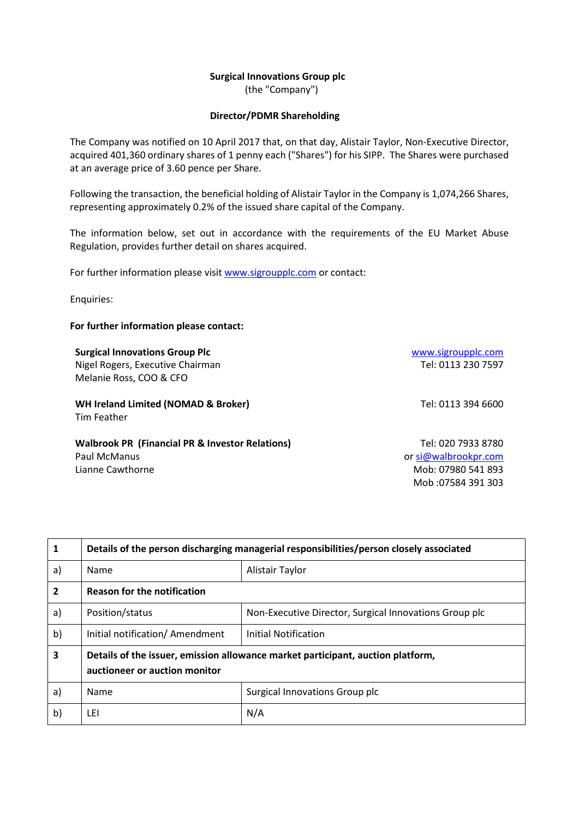## **Surgical Innovations Group plc**

(the "Company")

## **Director/PDMR Shareholding**

The Company was notified on 10 April 2017 that, on that day, Alistair Taylor, Non-Executive Director, acquired 401,360 ordinary shares of 1 penny each ("Shares") for his SIPP. The Shares were purchased at an average price of 3.60 pence per Share.

Following the transaction, the beneficial holding of Alistair Taylor in the Company is 1,074,266 Shares, representing approximately 0.2% of the issued share capital of the Company.

The information below, set out in accordance with the requirements of the EU Market Abuse Regulation, provides further detail on shares acquired.

For further information please visit [www.sigroupplc.com](http://www.sigroupplc.com/) or contact:

Enquiries:

## **For further information please contact:**

**Surgical Innovations Group Plc** [www.sigroupplc.com](http://www.sigroupplc.com/) Nigel Rogers, Executive Chairman Tel: 0113 230 7597 Melanie Ross, COO & CFO

**WH Ireland Limited (NOMAD & Broker)** Tel: 0113 394 6600 Tim Feather

**Walbrook PR (Financial PR & Investor Relations)** Paul McManus Lianne Cawthorne **Mobissity** Campaigneer Mobissity Mob: 07980 541 893

Tel: 020 7933 8780 o[r si@walbrookpr.com](mailto:si@walbrookpr.com) Mob :07584 391 303

| 1  | Details of the person discharging managerial responsibilities/person closely associated                          |                                                        |  |  |
|----|------------------------------------------------------------------------------------------------------------------|--------------------------------------------------------|--|--|
| a) | <b>Name</b>                                                                                                      | Alistair Taylor                                        |  |  |
| 2  | <b>Reason for the notification</b>                                                                               |                                                        |  |  |
| a) | Position/status                                                                                                  | Non-Executive Director, Surgical Innovations Group plc |  |  |
| b) | Initial notification/ Amendment                                                                                  | Initial Notification                                   |  |  |
| 3  | Details of the issuer, emission allowance market participant, auction platform,<br>auctioneer or auction monitor |                                                        |  |  |
| a) | <b>Name</b>                                                                                                      | Surgical Innovations Group plc                         |  |  |
| b) | LEI                                                                                                              | N/A                                                    |  |  |